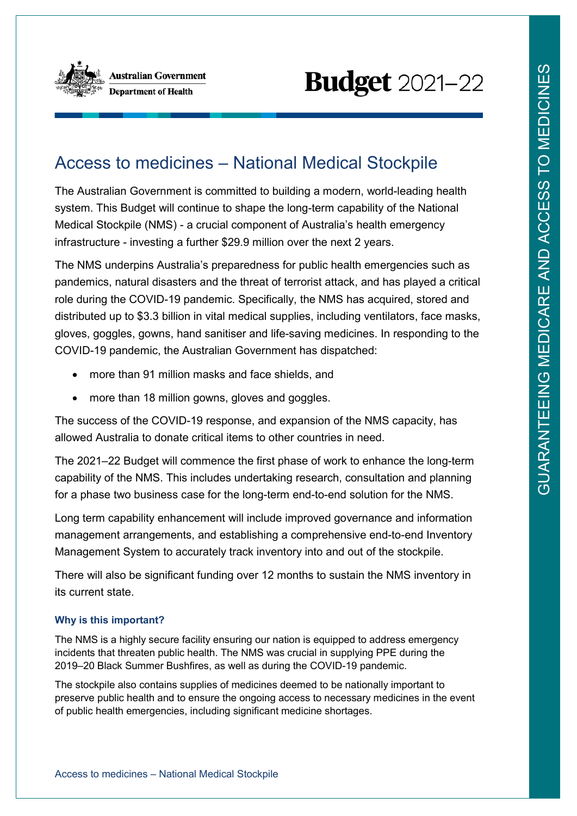

# **Budget** 2021-22

## Access to medicines – National Medical Stockpile

The Australian Government is committed to building a modern, world-leading health system. This Budget will continue to shape the long-term capability of the National Medical Stockpile (NMS) - a crucial component of Australia's health emergency infrastructure - investing a further \$29.9 million over the next 2 years.

The NMS underpins Australia's preparedness for public health emergencies such as pandemics, natural disasters and the threat of terrorist attack, and has played a critical role during the COVID-19 pandemic. Specifically, the NMS has acquired, stored and distributed up to \$3.3 billion in vital medical supplies, including ventilators, face masks, gloves, goggles, gowns, hand sanitiser and life-saving medicines. In responding to the COVID-19 pandemic, the Australian Government has dispatched:

- more than 91 million masks and face shields, and
- more than 18 million gowns, gloves and goggles.

The success of the COVID-19 response, and expansion of the NMS capacity, has allowed Australia to donate critical items to other countries in need.

The 2021–22 Budget will commence the first phase of work to enhance the long-term capability of the NMS. This includes undertaking research, consultation and planning for a phase two business case for the long-term end-to-end solution for the NMS.

Long term capability enhancement will include improved governance and information management arrangements, and establishing a comprehensive end-to-end Inventory Management System to accurately track inventory into and out of the stockpile.

There will also be significant funding over 12 months to sustain the NMS inventory in its current state.

#### **Why is this important?**

The NMS is a highly secure facility ensuring our nation is equipped to address emergency incidents that threaten public health. The NMS was crucial in supplying PPE during the 2019–20 Black Summer Bushfires, as well as during the COVID-19 pandemic.

The stockpile also contains supplies of medicines deemed to be nationally important to preserve public health and to ensure the ongoing access to necessary medicines in the event of public health emergencies, including significant medicine shortages.